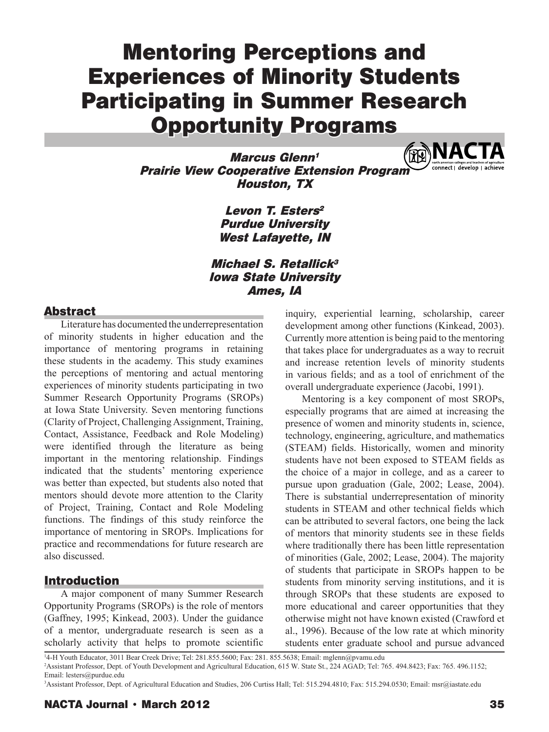# Mentoring Perceptions and Experiences of Minority Students Participating in Summer Research Opportunity Programs

**RENAC** Marcus Glenn<sup>1</sup> Prairie View Cooperative Extension Program Houston, TX

> Levon T. Esters<sup>2</sup> Purdue University West Lafayette, IN

Michael S. Retallick<sup>3</sup> Iowa State University Ames, IA

## Abstract

Literature has documented the underrepresentation of minority students in higher education and the importance of mentoring programs in retaining these students in the academy. This study examines the perceptions of mentoring and actual mentoring experiences of minority students participating in two Summer Research Opportunity Programs (SROPs) at Iowa State University. Seven mentoring functions (Clarity of Project, Challenging Assignment, Training, Contact, Assistance, Feedback and Role Modeling) were identified through the literature as being important in the mentoring relationship. Findings indicated that the students' mentoring experience was better than expected, but students also noted that mentors should devote more attention to the Clarity of Project, Training, Contact and Role Modeling functions. The findings of this study reinforce the importance of mentoring in SROPs. Implications for practice and recommendations for future research are also discussed.

## Introduction

A major component of many Summer Research Opportunity Programs (SROPs) is the role of mentors (Gaffney, 1995; Kinkead, 2003). Under the guidance of a mentor, undergraduate research is seen as a scholarly activity that helps to promote scientific

inquiry, experiential learning, scholarship, career development among other functions (Kinkead, 2003). Currently more attention is being paid to the mentoring that takes place for undergraduates as a way to recruit and increase retention levels of minority students in various fields; and as a tool of enrichment of the overall undergraduate experience (Jacobi, 1991).

Mentoring is a key component of most SROPs, especially programs that are aimed at increasing the presence of women and minority students in, science, technology, engineering, agriculture, and mathematics (STEAM) fields. Historically, women and minority students have not been exposed to STEAM fields as the choice of a major in college, and as a career to pursue upon graduation (Gale, 2002; Lease, 2004). There is substantial underrepresentation of minority students in STEAM and other technical fields which can be attributed to several factors, one being the lack of mentors that minority students see in these fields where traditionally there has been little representation of minorities (Gale, 2002; Lease, 2004). The majority of students that participate in SROPs happen to be students from minority serving institutions, and it is through SROPs that these students are exposed to more educational and career opportunities that they otherwise might not have known existed (Crawford et al., 1996). Because of the low rate at which minority students enter graduate school and pursue advanced

1 4-H Youth Educator, 3011 Bear Creek Drive; Tel: 281.855.5600; Fax: 281. 855.5638; Email: mglenn@pvamu.edu 2 Assistant Professor, Dept. of Youth Development and Agricultural Education, 615 W. State St., 224 AGAD; Tel: 765. 494.8423; Fax: 765. 496.1152; Email: lesters@purdue.edu

3 Assistant Professor, Dept. of Agricultural Education and Studies, 206 Curtiss Hall; Tel: 515.294.4810; Fax: 515.294.0530; Email: msr@iastate.edu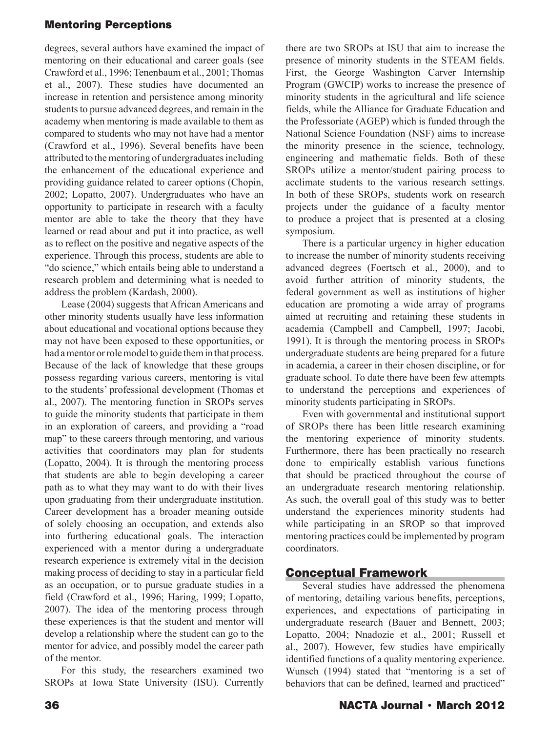degrees, several authors have examined the impact of mentoring on their educational and career goals (see Crawford et al., 1996; Tenenbaum et al., 2001; Thomas et al., 2007). These studies have documented an increase in retention and persistence among minority students to pursue advanced degrees, and remain in the academy when mentoring is made available to them as compared to students who may not have had a mentor (Crawford et al., 1996). Several benefits have been attributed to the mentoring of undergraduates including the enhancement of the educational experience and providing guidance related to career options (Chopin, 2002; Lopatto, 2007). Undergraduates who have an opportunity to participate in research with a faculty mentor are able to take the theory that they have learned or read about and put it into practice, as well as to reflect on the positive and negative aspects of the experience. Through this process, students are able to "do science," which entails being able to understand a research problem and determining what is needed to address the problem (Kardash, 2000).

Lease (2004) suggests that African Americans and other minority students usually have less information about educational and vocational options because they may not have been exposed to these opportunities, or had a mentor or role model to guide them in that process. Because of the lack of knowledge that these groups possess regarding various careers, mentoring is vital to the students' professional development (Thomas et al., 2007). The mentoring function in SROPs serves to guide the minority students that participate in them in an exploration of careers, and providing a "road map" to these careers through mentoring, and various activities that coordinators may plan for students (Lopatto, 2004). It is through the mentoring process that students are able to begin developing a career path as to what they may want to do with their lives upon graduating from their undergraduate institution. Career development has a broader meaning outside of solely choosing an occupation, and extends also into furthering educational goals. The interaction experienced with a mentor during a undergraduate research experience is extremely vital in the decision making process of deciding to stay in a particular field as an occupation, or to pursue graduate studies in a field (Crawford et al., 1996; Haring, 1999; Lopatto, 2007). The idea of the mentoring process through these experiences is that the student and mentor will develop a relationship where the student can go to the mentor for advice, and possibly model the career path of the mentor.

For this study, the researchers examined two SROPs at Iowa State University (ISU). Currently

there are two SROPs at ISU that aim to increase the presence of minority students in the STEAM fields. First, the George Washington Carver Internship Program (GWCIP) works to increase the presence of minority students in the agricultural and life science fields, while the Alliance for Graduate Education and the Professoriate (AGEP) which is funded through the National Science Foundation (NSF) aims to increase the minority presence in the science, technology, engineering and mathematic fields. Both of these SROPs utilize a mentor/student pairing process to acclimate students to the various research settings. In both of these SROPs, students work on research projects under the guidance of a faculty mentor to produce a project that is presented at a closing symposium.

There is a particular urgency in higher education to increase the number of minority students receiving advanced degrees (Foertsch et al., 2000), and to avoid further attrition of minority students, the federal government as well as institutions of higher education are promoting a wide array of programs aimed at recruiting and retaining these students in academia (Campbell and Campbell, 1997; Jacobi, 1991). It is through the mentoring process in SROPs undergraduate students are being prepared for a future in academia, a career in their chosen discipline, or for graduate school. To date there have been few attempts to understand the perceptions and experiences of minority students participating in SROPs.

Even with governmental and institutional support of SROPs there has been little research examining the mentoring experience of minority students. Furthermore, there has been practically no research done to empirically establish various functions that should be practiced throughout the course of an undergraduate research mentoring relationship. As such, the overall goal of this study was to better understand the experiences minority students had while participating in an SROP so that improved mentoring practices could be implemented by program coordinators.

# Conceptual Framework

Several studies have addressed the phenomena of mentoring, detailing various benefits, perceptions, experiences, and expectations of participating in undergraduate research (Bauer and Bennett, 2003; Lopatto, 2004; Nnadozie et al., 2001; Russell et al., 2007). However, few studies have empirically identified functions of a quality mentoring experience. Wunsch (1994) stated that "mentoring is a set of behaviors that can be defined, learned and practiced"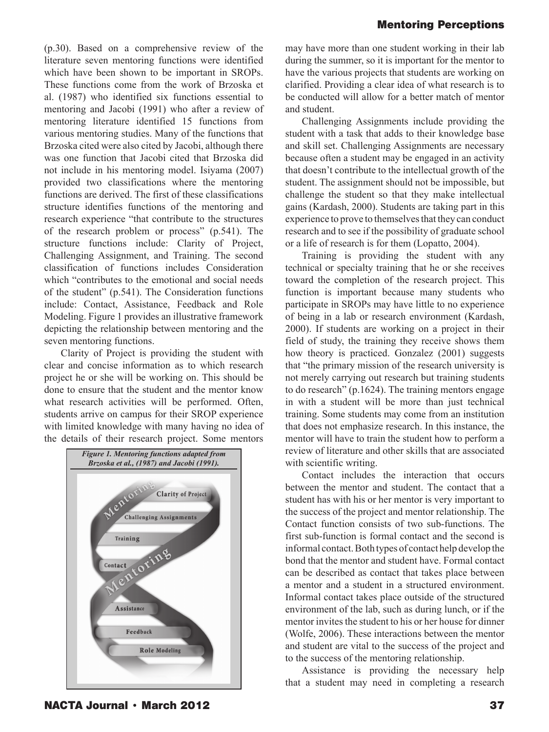(p.30). Based on a comprehensive review of the literature seven mentoring functions were identified which have been shown to be important in SROPs. These functions come from the work of Brzoska et al. (1987) who identified six functions essential to mentoring and Jacobi (1991) who after a review of mentoring literature identified 15 functions from various mentoring studies. Many of the functions that Brzoska cited were also cited by Jacobi, although there was one function that Jacobi cited that Brzoska did not include in his mentoring model. Isiyama (2007) provided two classifications where the mentoring functions are derived. The first of these classifications structure identifies functions of the mentoring and research experience "that contribute to the structures of the research problem or process" (p.541). The structure functions include: Clarity of Project, Challenging Assignment, and Training. The second classification of functions includes Consideration which "contributes to the emotional and social needs of the student" (p.541). The Consideration functions include: Contact, Assistance, Feedback and Role Modeling. Figure 1 provides an illustrative framework depicting the relationship between mentoring and the seven mentoring functions.

Clarity of Project is providing the student with clear and concise information as to which research project he or she will be working on. This should be done to ensure that the student and the mentor know what research activities will be performed. Often, students arrive on campus for their SROP experience with limited knowledge with many having no idea of the details of their research project. Some mentors



may have more than one student working in their lab during the summer, so it is important for the mentor to have the various projects that students are working on clarified. Providing a clear idea of what research is to be conducted will allow for a better match of mentor and student.

Challenging Assignments include providing the student with a task that adds to their knowledge base and skill set. Challenging Assignments are necessary because often a student may be engaged in an activity that doesn't contribute to the intellectual growth of the student. The assignment should not be impossible, but challenge the student so that they make intellectual gains (Kardash, 2000). Students are taking part in this experience to prove to themselves that they can conduct research and to see if the possibility of graduate school or a life of research is for them (Lopatto, 2004).

Training is providing the student with any technical or specialty training that he or she receives toward the completion of the research project. This function is important because many students who participate in SROPs may have little to no experience of being in a lab or research environment (Kardash, 2000). If students are working on a project in their field of study, the training they receive shows them how theory is practiced. Gonzalez (2001) suggests that "the primary mission of the research university is not merely carrying out research but training students to do research" (p.1624). The training mentors engage in with a student will be more than just technical training. Some students may come from an institution that does not emphasize research. In this instance, the mentor will have to train the student how to perform a review of literature and other skills that are associated with scientific writing.

Contact includes the interaction that occurs between the mentor and student. The contact that a student has with his or her mentor is very important to the success of the project and mentor relationship. The Contact function consists of two sub-functions. The first sub-function is formal contact and the second is informal contact. Both types of contact help develop the bond that the mentor and student have. Formal contact can be described as contact that takes place between a mentor and a student in a structured environment. Informal contact takes place outside of the structured environment of the lab, such as during lunch, or if the mentor invites the student to his or her house for dinner (Wolfe, 2006). These interactions between the mentor and student are vital to the success of the project and to the success of the mentoring relationship.

Assistance is providing the necessary help that a student may need in completing a research

NACTA Journal • March 2012 37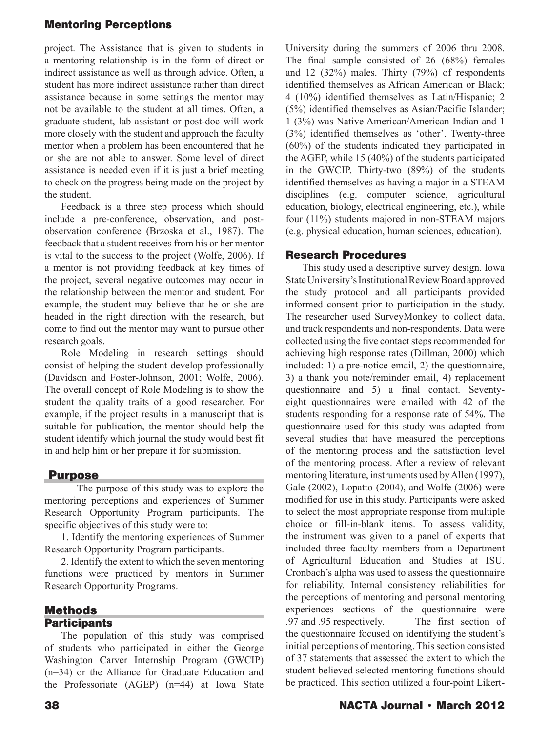project. The Assistance that is given to students in a mentoring relationship is in the form of direct or indirect assistance as well as through advice. Often, a student has more indirect assistance rather than direct assistance because in some settings the mentor may not be available to the student at all times. Often, a graduate student, lab assistant or post-doc will work more closely with the student and approach the faculty mentor when a problem has been encountered that he or she are not able to answer. Some level of direct assistance is needed even if it is just a brief meeting to check on the progress being made on the project by the student.

Feedback is a three step process which should include a pre-conference, observation, and postobservation conference (Brzoska et al., 1987). The feedback that a student receives from his or her mentor is vital to the success to the project (Wolfe, 2006). If a mentor is not providing feedback at key times of the project, several negative outcomes may occur in the relationship between the mentor and student. For example, the student may believe that he or she are headed in the right direction with the research, but come to find out the mentor may want to pursue other research goals.

Role Modeling in research settings should consist of helping the student develop professionally (Davidson and Foster-Johnson, 2001; Wolfe, 2006). The overall concept of Role Modeling is to show the student the quality traits of a good researcher. For example, if the project results in a manuscript that is suitable for publication, the mentor should help the student identify which journal the study would best fit in and help him or her prepare it for submission.

## **Purpose**

 The purpose of this study was to explore the mentoring perceptions and experiences of Summer Research Opportunity Program participants. The specific objectives of this study were to:

1. Identify the mentoring experiences of Summer Research Opportunity Program participants.

2. Identify the extent to which the seven mentoring functions were practiced by mentors in Summer Research Opportunity Programs.

#### Methods **Participants**

The population of this study was comprised of students who participated in either the George Washington Carver Internship Program (GWCIP) (n=34) or the Alliance for Graduate Education and the Professoriate (AGEP) (n=44) at Iowa State

University during the summers of 2006 thru 2008. The final sample consisted of 26 (68%) females and 12 (32%) males. Thirty (79%) of respondents identified themselves as African American or Black; 4 (10%) identified themselves as Latin/Hispanic; 2 (5%) identified themselves as Asian/Pacific Islander; 1 (3%) was Native American/American Indian and 1 (3%) identified themselves as 'other'. Twenty-three (60%) of the students indicated they participated in the AGEP, while 15 (40%) of the students participated in the GWCIP. Thirty-two (89%) of the students identified themselves as having a major in a STEAM disciplines (e.g. computer science, agricultural education, biology, electrical engineering, etc.), while four (11%) students majored in non-STEAM majors (e.g. physical education, human sciences, education).

# Research Procedures

This study used a descriptive survey design. Iowa State University's Institutional Review Board approved the study protocol and all participants provided informed consent prior to participation in the study. The researcher used SurveyMonkey to collect data, and track respondents and non-respondents. Data were collected using the five contact steps recommended for achieving high response rates (Dillman, 2000) which included: 1) a pre-notice email, 2) the questionnaire, 3) a thank you note/reminder email, 4) replacement questionnaire and 5) a final contact. Seventyeight questionnaires were emailed with 42 of the students responding for a response rate of 54%. The questionnaire used for this study was adapted from several studies that have measured the perceptions of the mentoring process and the satisfaction level of the mentoring process. After a review of relevant mentoring literature, instruments used by Allen (1997), Gale (2002), Lopatto (2004), and Wolfe (2006) were modified for use in this study. Participants were asked to select the most appropriate response from multiple choice or fill-in-blank items. To assess validity, the instrument was given to a panel of experts that included three faculty members from a Department of Agricultural Education and Studies at ISU. Cronbach's alpha was used to assess the questionnaire for reliability. Internal consistency reliabilities for the perceptions of mentoring and personal mentoring experiences sections of the questionnaire were .97 and .95 respectively. The first section of the questionnaire focused on identifying the student's initial perceptions of mentoring. This section consisted of 37 statements that assessed the extent to which the student believed selected mentoring functions should be practiced. This section utilized a four-point Likert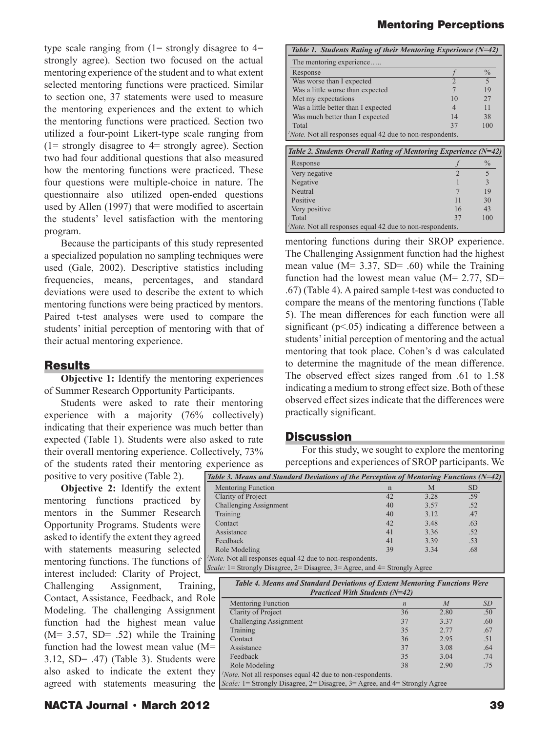type scale ranging from  $(1=$  strongly disagree to  $4=$ strongly agree). Section two focused on the actual mentoring experience of the student and to what extent selected mentoring functions were practiced. Similar to section one, 37 statements were used to measure the mentoring experiences and the extent to which the mentoring functions were practiced. Section two utilized a four-point Likert-type scale ranging from  $(1=$  strongly disagree to  $4=$  strongly agree). Section two had four additional questions that also measured how the mentoring functions were practiced. These four questions were multiple-choice in nature. The questionnaire also utilized open-ended questions used by Allen (1997) that were modified to ascertain the students' level satisfaction with the mentoring program.

Because the participants of this study represented a specialized population no sampling techniques were used (Gale, 2002). Descriptive statistics including frequencies, means, percentages, and standard deviations were used to describe the extent to which mentoring functions were being practiced by mentors. Paired t-test analyses were used to compare the students' initial perception of mentoring with that of their actual mentoring experience.

#### **Results**

**Objective 1:** Identify the mentoring experiences of Summer Research Opportunity Participants.

Students were asked to rate their mentoring experience with a majority (76% collectively) indicating that their experience was much better than expected (Table 1). Students were also asked to rate their overall mentoring experience. Collectively, 73% of the students rated their mentoring experience as

positive to very positive (Table 2).

**Objective 2:** Identify the extent mentoring functions practiced by mentors in the Summer Research Opportunity Programs. Students were asked to identify the extent they agreed with statements measuring selected mentoring functions. The functions of interest included: Clarity of Project, Challenging Assignment, Training, Contact, Assistance, Feedback, and Role Modeling. The challenging Assignment function had the highest mean value  $(M= 3.57, SD= .52)$  while the Training function had the lowest mean value (M= 3.12, SD= .47) (Table 3). Students were also asked to indicate the extent they agreed with statements measuring the *1*

#### Mentoring Perceptions

| Table 1. Students Rating of their Mentoring Experience (N=42)    |                |               |  |  |
|------------------------------------------------------------------|----------------|---------------|--|--|
| The mentoring experience                                         |                |               |  |  |
| Response                                                         |                | $\frac{0}{0}$ |  |  |
| Was worse than I expected                                        |                |               |  |  |
| Was a little worse than expected                                 |                | 19            |  |  |
| Met my expectations                                              | 10             | 27            |  |  |
| Was a little better than I expected                              | $\overline{4}$ | 11            |  |  |
| Was much better than I expected                                  | 14             | 38            |  |  |
| Total                                                            | 37             | 100           |  |  |
| <i>Note</i> . Not all responses equal 42 due to non-respondents. |                |               |  |  |

| Table 2. Students Overall Rating of Mentoring Experience $(N=42)$ |    |               |  |  |
|-------------------------------------------------------------------|----|---------------|--|--|
| Response                                                          |    | $\frac{0}{0}$ |  |  |
| Very negative                                                     |    |               |  |  |
| Negative                                                          |    |               |  |  |
| Neutral                                                           |    | 19            |  |  |
| Positive                                                          | 11 | 30            |  |  |
| Very positive                                                     | 16 | 43            |  |  |
| Total                                                             | 37 | 100           |  |  |
| <i>Note</i> . Not all responses equal 42 due to non-respondents.  |    |               |  |  |

mentoring functions during their SROP experience. The Challenging Assignment function had the highest mean value ( $M = 3.37$ ,  $SD = .60$ ) while the Training function had the lowest mean value ( $M = 2.77$ , SD= .67) (Table 4). A paired sample t-test was conducted to compare the means of the mentoring functions (Table 5). The mean differences for each function were all significant  $(p<0.05)$  indicating a difference between a students' initial perception of mentoring and the actual mentoring that took place. Cohen's d was calculated to determine the magnitude of the mean difference. The observed effect sizes ranged from .61 to 1.58 indicating a medium to strong effect size. Both of these observed effect sizes indicate that the differences were practically significant.

#### **Discussion**

For this study, we sought to explore the mentoring perceptions and experiences of SROP participants. We

| Table 3. Means and Standard Deviations of the Perception of Mentoring Functions ( $N=42$ ) |             |      |           |
|--------------------------------------------------------------------------------------------|-------------|------|-----------|
| <b>Mentoring Function</b>                                                                  | $\mathbf n$ | M    | <b>SD</b> |
| Clarity of Project                                                                         | 42          | 3.28 | .59       |
| Challenging Assignment                                                                     | 40          | 3.57 | .52       |
| Training                                                                                   | 40          | 3.12 | .47       |
| Contact                                                                                    | 42          | 3.48 | .63       |
| Assistance                                                                                 | 41          | 3.36 | .52       |
| Feedback                                                                                   | 41          | 3.39 | .53       |
| Role Modeling                                                                              | 39          | 3.34 | .68       |
| <i>Note</i> . Not all responses equal 42 due to non-respondents.                           |             |      |           |
| <i>Scale:</i> 1= Strongly Disagree, 2= Disagree, 3= Agree, and 4= Strongly Agree           |             |      |           |

*Table 4. Means and Standard Deviations of Extent Mentoring Functions Were Practiced With Students (N=42)* Mentoring Function *n* M SD Clarity of Project 36 2.80 .50 Challenging Assignment 60 37 3.37 .60 Training 35 2.77 .67<br>
Contact 36 2.95 .51  $\text{Constant}$  36  $\text{2.95}$  .51 Assistance 37 3.08 .64 Feedback  $35$  3.04 .74 Role Modeling 2.90 2.90 .75 *1 Note.* Not all responses equal 42 due to non-respondents. *Scale:* 1= Strongly Disagree, 2= Disagree, 3= Agree, and 4= Strongly Agree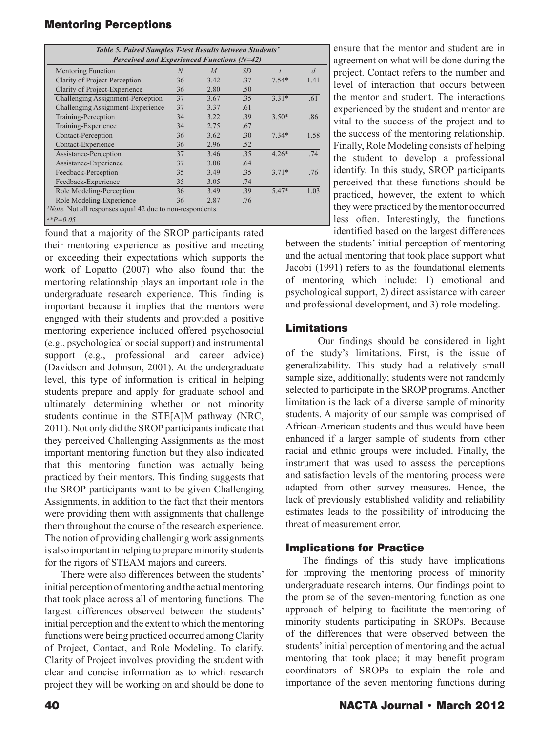| Table 5. Paired Samples T-test Results between Students'         |    |                  |           |         |      |  |  |  |  |
|------------------------------------------------------------------|----|------------------|-----------|---------|------|--|--|--|--|
| Perceived and Experienced Functions $(N=42)$                     |    |                  |           |         |      |  |  |  |  |
| Mentoring Function                                               | N  | $\boldsymbol{M}$ | <i>SD</i> |         | d    |  |  |  |  |
| Clarity of Project-Perception                                    | 36 | 3.42             | .37       | $7.54*$ | 1.41 |  |  |  |  |
| Clarity of Project-Experience                                    | 36 | 2.80             | .50       |         |      |  |  |  |  |
| Challenging Assignment-Perception                                | 37 | 3.67             | .35       | $3.31*$ | .61  |  |  |  |  |
| Challenging Assignment-Experience                                | 37 | 3.37             | .61       |         |      |  |  |  |  |
| Training-Perception                                              | 34 | 3.22             | .39       | $3.50*$ | .86  |  |  |  |  |
| Training-Experience                                              | 34 | 2.75             | .67       |         |      |  |  |  |  |
| Contact-Perception                                               | 36 | 3.62             | .30       | $7.34*$ | 1.58 |  |  |  |  |
| Contact-Experience                                               | 36 | 2.96             | .52       |         |      |  |  |  |  |
| Assistance-Perception                                            | 37 | 3.46             | .35       | $4.26*$ | .74  |  |  |  |  |
| Assistance-Experience                                            | 37 | 3.08             | .64       |         |      |  |  |  |  |
| Feedback-Perception                                              | 35 | 3.49             | .35       | $3.71*$ | .76  |  |  |  |  |
| Feedback-Experience                                              | 35 | 3.05             | .74       |         |      |  |  |  |  |
| Role Modeling-Perception                                         | 36 | 3.49             | .39       | $5.47*$ | 1.03 |  |  |  |  |
| Role Modeling-Experience                                         | 36 | 2.87             | .76       |         |      |  |  |  |  |
| <i>Note</i> . Not all responses equal 42 due to non-respondents. |    |                  |           |         |      |  |  |  |  |
| $2*p=0.05$                                                       |    |                  |           |         |      |  |  |  |  |

found that a majority of the SROP participants rated their mentoring experience as positive and meeting or exceeding their expectations which supports the work of Lopatto (2007) who also found that the mentoring relationship plays an important role in the undergraduate research experience. This finding is important because it implies that the mentors were engaged with their students and provided a positive mentoring experience included offered psychosocial (e.g., psychological or social support) and instrumental support (e.g., professional and career advice) (Davidson and Johnson, 2001). At the undergraduate level, this type of information is critical in helping students prepare and apply for graduate school and ultimately determining whether or not minority students continue in the STE[A]M pathway (NRC, 2011). Not only did the SROP participants indicate that they perceived Challenging Assignments as the most important mentoring function but they also indicated that this mentoring function was actually being practiced by their mentors. This finding suggests that the SROP participants want to be given Challenging Assignments, in addition to the fact that their mentors were providing them with assignments that challenge them throughout the course of the research experience. The notion of providing challenging work assignments is also important in helping to prepare minority students for the rigors of STEAM majors and careers.

There were also differences between the students' initial perception of mentoring and the actual mentoring that took place across all of mentoring functions. The largest differences observed between the students' initial perception and the extent to which the mentoring functions were being practiced occurred among Clarity of Project, Contact, and Role Modeling. To clarify, Clarity of Project involves providing the student with clear and concise information as to which research project they will be working on and should be done to

ensure that the mentor and student are in agreement on what will be done during the project. Contact refers to the number and level of interaction that occurs between the mentor and student. The interactions experienced by the student and mentor are vital to the success of the project and to the success of the mentoring relationship. Finally, Role Modeling consists of helping the student to develop a professional identify. In this study, SROP participants perceived that these functions should be practiced, however, the extent to which they were practiced by the mentor occurred less often. Interestingly, the functions identified based on the largest differences

between the students' initial perception of mentoring and the actual mentoring that took place support what Jacobi (1991) refers to as the foundational elements of mentoring which include: 1) emotional and psychological support, 2) direct assistance with career and professional development, and 3) role modeling.

## Limitations

 Our findings should be considered in light of the study's limitations. First, is the issue of generalizability. This study had a relatively small sample size, additionally; students were not randomly selected to participate in the SROP programs. Another limitation is the lack of a diverse sample of minority students. A majority of our sample was comprised of African-American students and thus would have been enhanced if a larger sample of students from other racial and ethnic groups were included. Finally, the instrument that was used to assess the perceptions and satisfaction levels of the mentoring process were adapted from other survey measures. Hence, the lack of previously established validity and reliability estimates leads to the possibility of introducing the threat of measurement error.

## Implications for Practice

The findings of this study have implications for improving the mentoring process of minority undergraduate research interns. Our findings point to the promise of the seven-mentoring function as one approach of helping to facilitate the mentoring of minority students participating in SROPs. Because of the differences that were observed between the students' initial perception of mentoring and the actual mentoring that took place; it may benefit program coordinators of SROPs to explain the role and importance of the seven mentoring functions during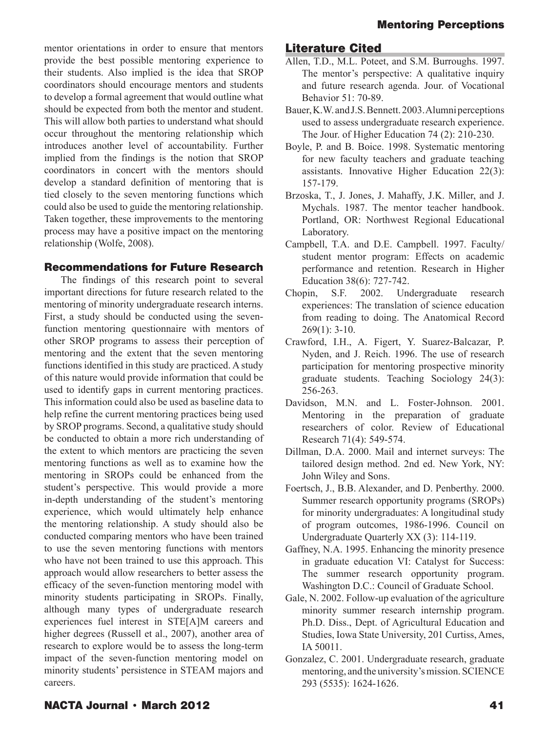mentor orientations in order to ensure that mentors provide the best possible mentoring experience to their students. Also implied is the idea that SROP coordinators should encourage mentors and students to develop a formal agreement that would outline what should be expected from both the mentor and student. This will allow both parties to understand what should occur throughout the mentoring relationship which introduces another level of accountability. Further implied from the findings is the notion that SROP coordinators in concert with the mentors should develop a standard definition of mentoring that is tied closely to the seven mentoring functions which could also be used to guide the mentoring relationship. Taken together, these improvements to the mentoring process may have a positive impact on the mentoring relationship (Wolfe, 2008).

## Recommendations for Future Research

The findings of this research point to several important directions for future research related to the mentoring of minority undergraduate research interns. First, a study should be conducted using the sevenfunction mentoring questionnaire with mentors of other SROP programs to assess their perception of mentoring and the extent that the seven mentoring functions identified in this study are practiced. A study of this nature would provide information that could be used to identify gaps in current mentoring practices. This information could also be used as baseline data to help refine the current mentoring practices being used by SROP programs. Second, a qualitative study should be conducted to obtain a more rich understanding of the extent to which mentors are practicing the seven mentoring functions as well as to examine how the mentoring in SROPs could be enhanced from the student's perspective. This would provide a more in-depth understanding of the student's mentoring experience, which would ultimately help enhance the mentoring relationship. A study should also be conducted comparing mentors who have been trained to use the seven mentoring functions with mentors who have not been trained to use this approach. This approach would allow researchers to better assess the efficacy of the seven-function mentoring model with minority students participating in SROPs. Finally, although many types of undergraduate research experiences fuel interest in STE[A]M careers and higher degrees (Russell et al., 2007), another area of research to explore would be to assess the long-term impact of the seven-function mentoring model on minority students' persistence in STEAM majors and careers.

# Literature Cited

- Allen, T.D., M.L. Poteet, and S.M. Burroughs. 1997. The mentor's perspective: A qualitative inquiry and future research agenda. Jour. of Vocational Behavior 51: 70-89.
- Bauer, K.W. and J.S. Bennett. 2003. Alumni perceptions used to assess undergraduate research experience. The Jour. of Higher Education 74 (2): 210-230.
- Boyle, P. and B. Boice. 1998. Systematic mentoring for new faculty teachers and graduate teaching assistants. Innovative Higher Education 22(3): 157-179.
- Brzoska, T., J. Jones, J. Mahaffy, J.K. Miller, and J. Mychals. 1987. The mentor teacher handbook. Portland, OR: Northwest Regional Educational Laboratory.
- Campbell, T.A. and D.E. Campbell. 1997. Faculty/ student mentor program: Effects on academic performance and retention. Research in Higher Education 38(6): 727-742.
- Chopin, S.F. 2002. Undergraduate research experiences: The translation of science education from reading to doing. The Anatomical Record 269(1): 3-10.
- Crawford, I.H., A. Figert, Y. Suarez-Balcazar, P. Nyden, and J. Reich. 1996. The use of research participation for mentoring prospective minority graduate students. Teaching Sociology 24(3): 256-263.
- Davidson, M.N. and L. Foster-Johnson. 2001. Mentoring in the preparation of graduate researchers of color. Review of Educational Research 71(4): 549-574.
- Dillman, D.A. 2000. Mail and internet surveys: The tailored design method. 2nd ed. New York, NY: John Wiley and Sons.
- Foertsch, J., B.B. Alexander, and D. Penberthy. 2000. Summer research opportunity programs (SROPs) for minority undergraduates: A longitudinal study of program outcomes, 1986-1996. Council on Undergraduate Quarterly XX (3): 114-119.
- Gaffney, N.A. 1995. Enhancing the minority presence in graduate education VI: Catalyst for Success: The summer research opportunity program. Washington D.C.: Council of Graduate School.
- Gale, N. 2002. Follow-up evaluation of the agriculture minority summer research internship program. Ph.D. Diss., Dept. of Agricultural Education and Studies, Iowa State University, 201 Curtiss, Ames, IA 50011.
- Gonzalez, C. 2001. Undergraduate research, graduate mentoring, and the university's mission. SCIENCE 293 (5535): 1624-1626.

# NACTA Journal • March 2012 41